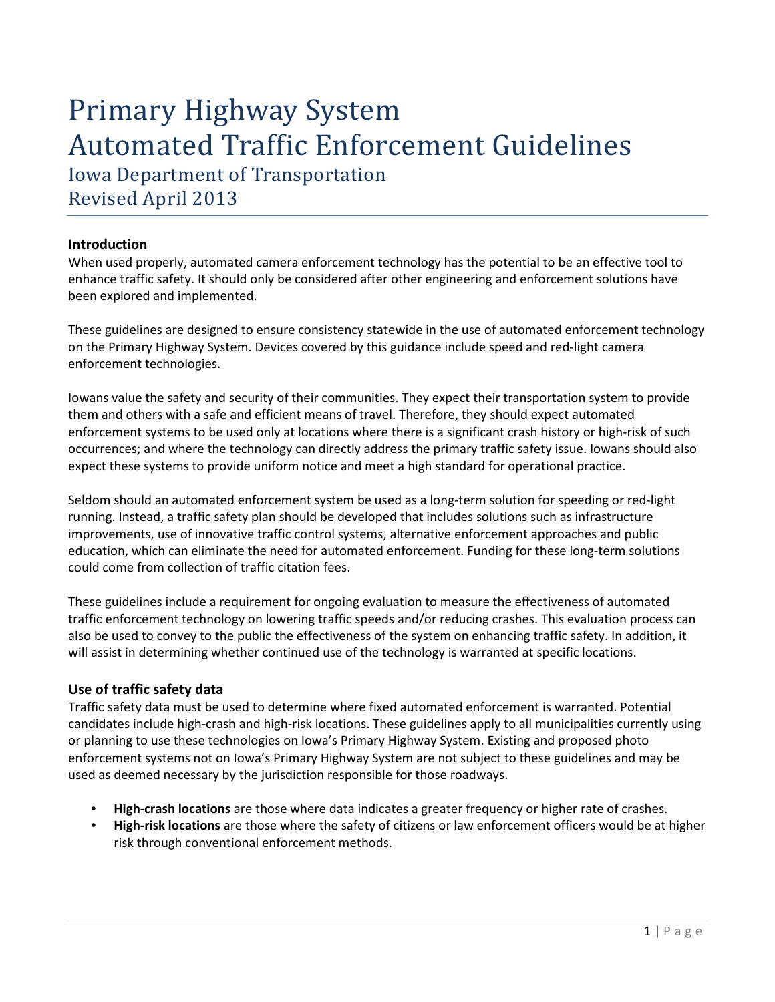# Primary Highway System Automated Traffic Enforcement Guidelines Iowa Department of Transportation

Revised April 2013

# **Introduction**

When used properly, automated camera enforcement technology has the potential to be an effective tool to enhance traffic safety. It should only be considered after other engineering and enforcement solutions have been explored and implemented.

These guidelines are designed to ensure consistency statewide in the use of automated enforcement technology on the Primary Highway System. Devices covered by this guidance include speed and red-light camera enforcement technologies.

Iowans value the safety and security of their communities. They expect their transportation system to provide them and others with a safe and efficient means of travel. Therefore, they should expect automated enforcement systems to be used only at locations where there is a significant crash history or high-risk of such occurrences; and where the technology can directly address the primary traffic safety issue. Iowans should also expect these systems to provide uniform notice and meet a high standard for operational practice.

Seldom should an automated enforcement system be used as a long-term solution for speeding or red-light running. Instead, a traffic safety plan should be developed that includes solutions such as infrastructure improvements, use of innovative traffic control systems, alternative enforcement approaches and public education, which can eliminate the need for automated enforcement. Funding for these long-term solutions could come from collection of traffic citation fees.

These guidelines include a requirement for ongoing evaluation to measure the effectiveness of automated traffic enforcement technology on lowering traffic speeds and/or reducing crashes. This evaluation process can also be used to convey to the public the effectiveness of the system on enhancing traffic safety. In addition, it will assist in determining whether continued use of the technology is warranted at specific locations.

## **Use of traffic safety data**

Traffic safety data must be used to determine where fixed automated enforcement is warranted. Potential candidates include high-crash and high-risk locations. These guidelines apply to all municipalities currently using or planning to use these technologies on Iowa's Primary Highway System. Existing and proposed photo enforcement systems not on Iowa's Primary Highway System are not subject to these guidelines and may be used as deemed necessary by the jurisdiction responsible for those roadways.

- **High-crash locations** are those where data indicates a greater frequency or higher rate of crashes.
- **High-risk locations** are those where the safety of citizens or law enforcement officers would be at higher risk through conventional enforcement methods.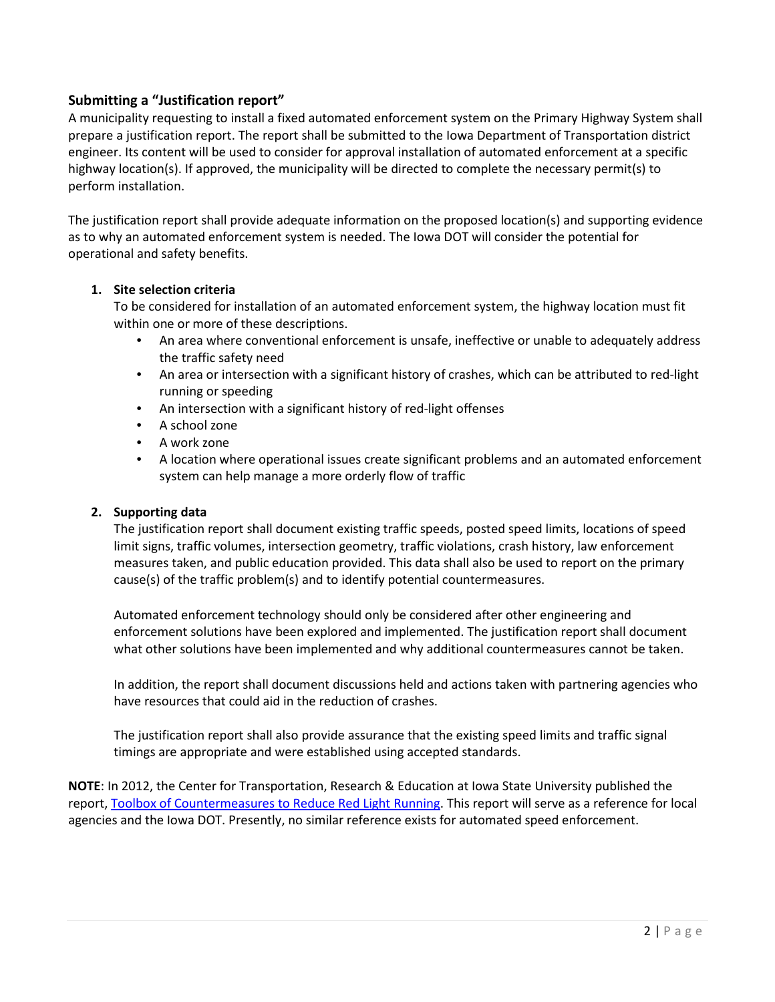# **Submitting a "Justification report"**

A municipality requesting to install a fixed automated enforcement system on the Primary Highway System shall prepare a justification report. The report shall be submitted to the Iowa Department of Transportation district engineer. Its content will be used to consider for approval installation of automated enforcement at a specific highway location(s). If approved, the municipality will be directed to complete the necessary permit(s) to perform installation.

The justification report shall provide adequate information on the proposed location(s) and supporting evidence as to why an automated enforcement system is needed. The Iowa DOT will consider the potential for operational and safety benefits.

#### **1. Site selection criteria**

To be considered for installation of an automated enforcement system, the highway location must fit within one or more of these descriptions.

- An area where conventional enforcement is unsafe, ineffective or unable to adequately address the traffic safety need
- An area or intersection with a significant history of crashes, which can be attributed to red-light running or speeding
- An intersection with a significant history of red-light offenses
- A school zone
- A work zone
- A location where operational issues create significant problems and an automated enforcement system can help manage a more orderly flow of traffic

#### **2. Supporting data**

The justification report shall document existing traffic speeds, posted speed limits, locations of speed limit signs, traffic volumes, intersection geometry, traffic violations, crash history, law enforcement measures taken, and public education provided. This data shall also be used to report on the primary cause(s) of the traffic problem(s) and to identify potential countermeasures.

Automated enforcement technology should only be considered after other engineering and enforcement solutions have been explored and implemented. The justification report shall document what other solutions have been implemented and why additional countermeasures cannot be taken.

In addition, the report shall document discussions held and actions taken with partnering agencies who have resources that could aid in the reduction of crashes.

The justification report shall also provide assurance that the existing speed limits and traffic signal timings are appropriate and were established using accepted standards.

**NOTE**: In 2012, the Center for Transportation, Research & Education at Iowa State University published the report[, Toolbox of Countermeasures to Reduce Red Light Running.](http://www.intrans.iastate.edu/research/projects/detail/?projectID=670623741) This report will serve as a reference for local agencies and the Iowa DOT. Presently, no similar reference exists for automated speed enforcement.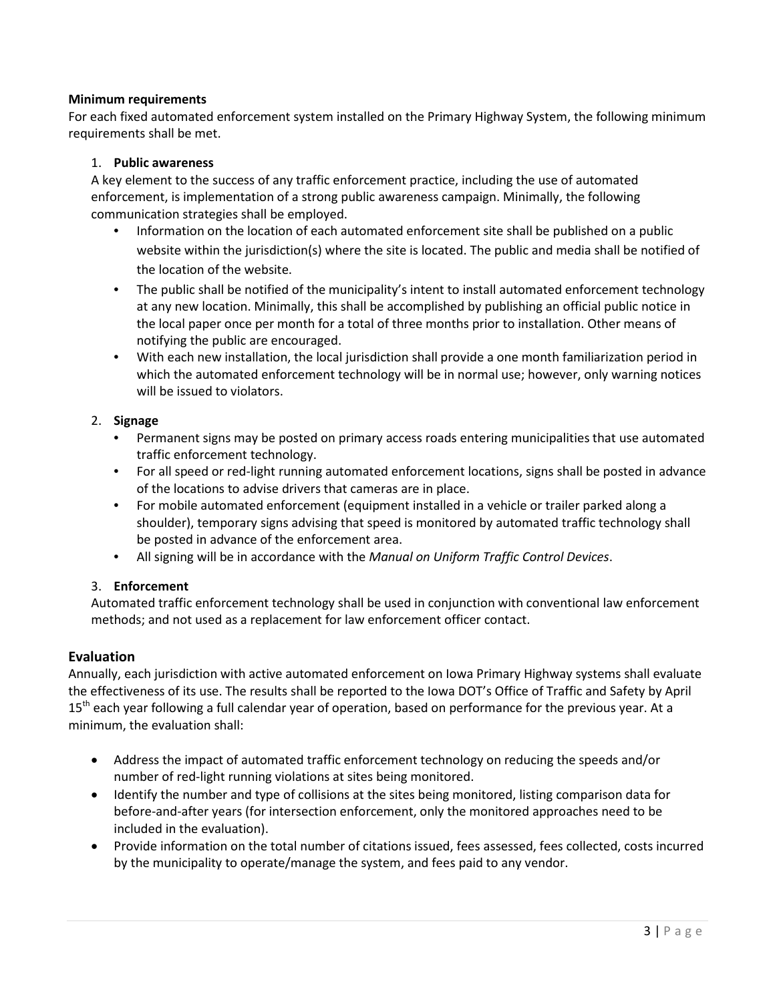#### **Minimum requirements**

For each fixed automated enforcement system installed on the Primary Highway System, the following minimum requirements shall be met.

#### 1. **Public awareness**

A key element to the success of any traffic enforcement practice, including the use of automated enforcement, is implementation of a strong public awareness campaign. Minimally, the following communication strategies shall be employed.

- Information on the location of each automated enforcement site shall be published on a public website within the jurisdiction(s) where the site is located. The public and media shall be notified of the location of the website.
- The public shall be notified of the municipality's intent to install automated enforcement technology at any new location. Minimally, this shall be accomplished by publishing an official public notice in the local paper once per month for a total of three months prior to installation. Other means of notifying the public are encouraged.
- With each new installation, the local jurisdiction shall provide a one month familiarization period in which the automated enforcement technology will be in normal use; however, only warning notices will be issued to violators.

#### 2. **Signage**

- Permanent signs may be posted on primary access roads entering municipalities that use automated traffic enforcement technology.
- For all speed or red-light running automated enforcement locations, signs shall be posted in advance of the locations to advise drivers that cameras are in place.
- For mobile automated enforcement (equipment installed in a vehicle or trailer parked along a shoulder), temporary signs advising that speed is monitored by automated traffic technology shall be posted in advance of the enforcement area.
- All signing will be in accordance with the *Manual on Uniform Traffic Control Devices*.

## 3. **Enforcement**

Automated traffic enforcement technology shall be used in conjunction with conventional law enforcement methods; and not used as a replacement for law enforcement officer contact.

## **Evaluation**

Annually, each jurisdiction with active automated enforcement on Iowa Primary Highway systems shall evaluate the effectiveness of its use. The results shall be reported to the Iowa DOT's Office of Traffic and Safety by April 15<sup>th</sup> each year following a full calendar year of operation, based on performance for the previous year. At a minimum, the evaluation shall:

- Address the impact of automated traffic enforcement technology on reducing the speeds and/or number of red-light running violations at sites being monitored.
- Identify the number and type of collisions at the sites being monitored, listing comparison data for before-and-after years (for intersection enforcement, only the monitored approaches need to be included in the evaluation).
- Provide information on the total number of citations issued, fees assessed, fees collected, costs incurred by the municipality to operate/manage the system, and fees paid to any vendor.